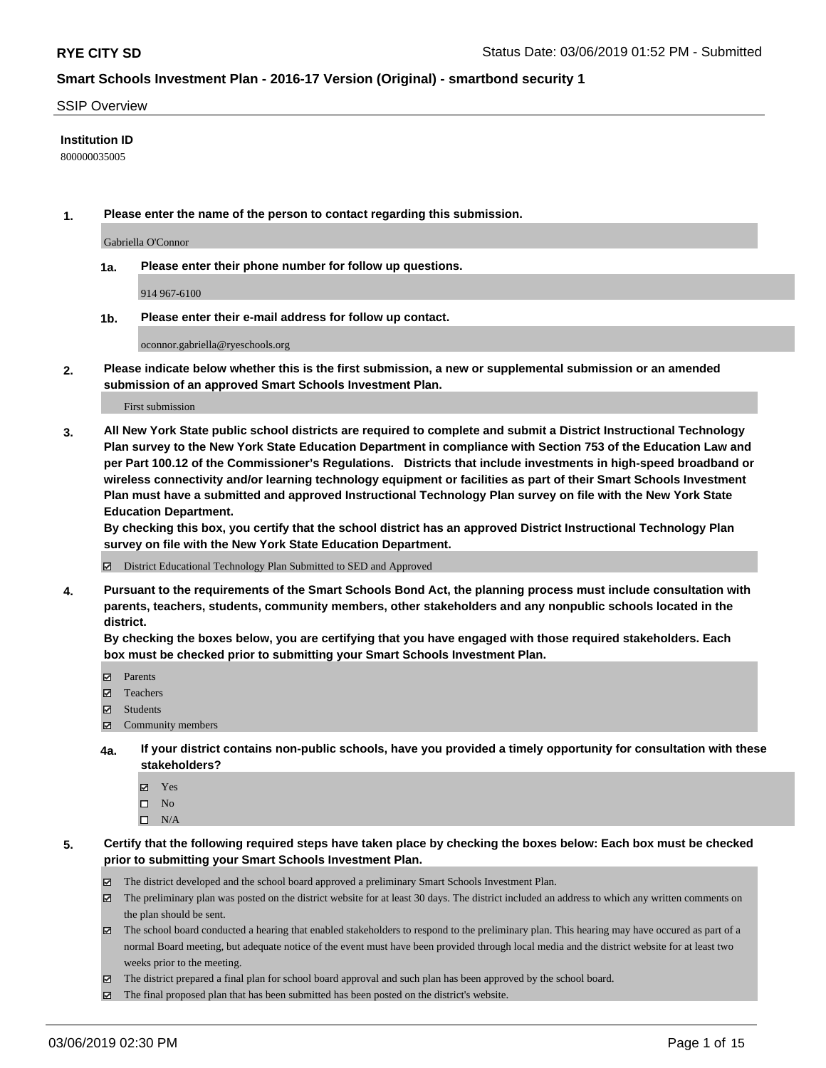#### SSIP Overview

#### **Institution ID**

800000035005

**1. Please enter the name of the person to contact regarding this submission.**

Gabriella O'Connor

**1a. Please enter their phone number for follow up questions.**

914 967-6100

**1b. Please enter their e-mail address for follow up contact.**

oconnor.gabriella@ryeschools.org

**2. Please indicate below whether this is the first submission, a new or supplemental submission or an amended submission of an approved Smart Schools Investment Plan.**

First submission

**3. All New York State public school districts are required to complete and submit a District Instructional Technology Plan survey to the New York State Education Department in compliance with Section 753 of the Education Law and per Part 100.12 of the Commissioner's Regulations. Districts that include investments in high-speed broadband or wireless connectivity and/or learning technology equipment or facilities as part of their Smart Schools Investment Plan must have a submitted and approved Instructional Technology Plan survey on file with the New York State Education Department.** 

**By checking this box, you certify that the school district has an approved District Instructional Technology Plan survey on file with the New York State Education Department.**

District Educational Technology Plan Submitted to SED and Approved

**4. Pursuant to the requirements of the Smart Schools Bond Act, the planning process must include consultation with parents, teachers, students, community members, other stakeholders and any nonpublic schools located in the district.** 

**By checking the boxes below, you are certifying that you have engaged with those required stakeholders. Each box must be checked prior to submitting your Smart Schools Investment Plan.**

- Parents
- Teachers
- Students
- Community members
- **4a. If your district contains non-public schools, have you provided a timely opportunity for consultation with these stakeholders?**
	- Yes
	- $\square$  No
	- $\square$  N/A
- **5. Certify that the following required steps have taken place by checking the boxes below: Each box must be checked prior to submitting your Smart Schools Investment Plan.**
	- The district developed and the school board approved a preliminary Smart Schools Investment Plan.
	- $\boxtimes$  The preliminary plan was posted on the district website for at least 30 days. The district included an address to which any written comments on the plan should be sent.
	- $\boxtimes$  The school board conducted a hearing that enabled stakeholders to respond to the preliminary plan. This hearing may have occured as part of a normal Board meeting, but adequate notice of the event must have been provided through local media and the district website for at least two weeks prior to the meeting.
	- The district prepared a final plan for school board approval and such plan has been approved by the school board.
	- $\boxtimes$  The final proposed plan that has been submitted has been posted on the district's website.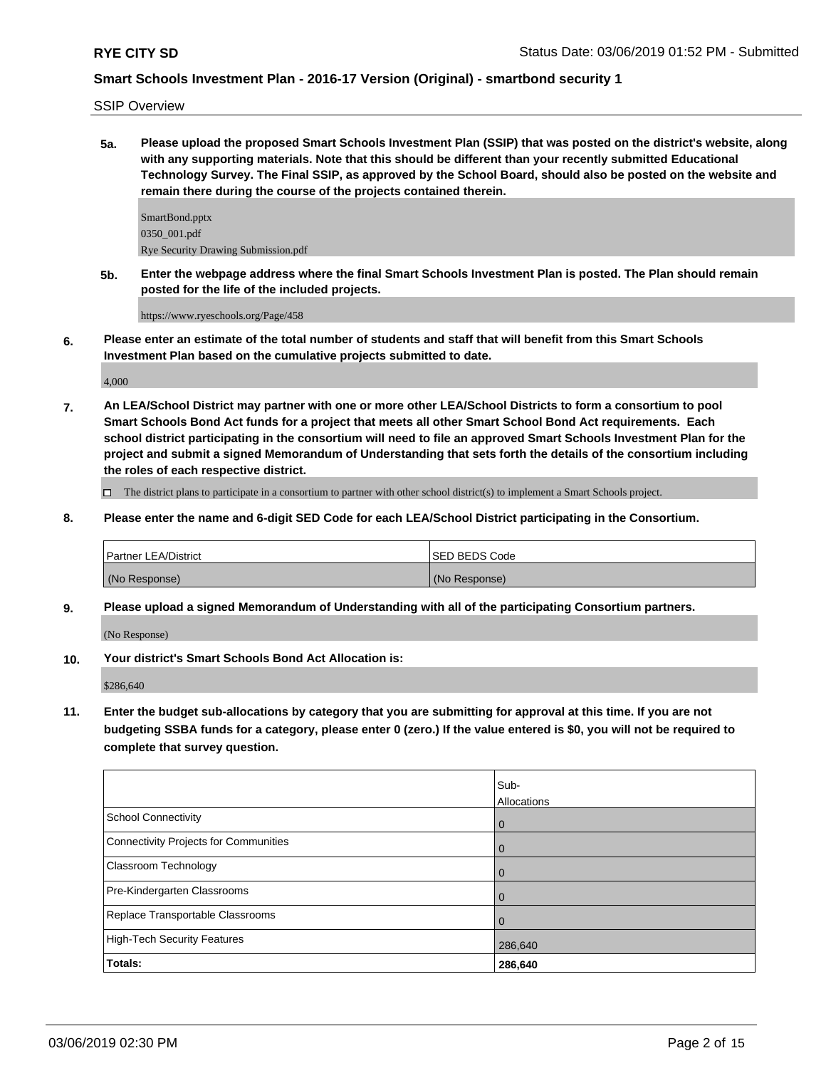SSIP Overview

**5a. Please upload the proposed Smart Schools Investment Plan (SSIP) that was posted on the district's website, along with any supporting materials. Note that this should be different than your recently submitted Educational Technology Survey. The Final SSIP, as approved by the School Board, should also be posted on the website and remain there during the course of the projects contained therein.**

SmartBond.pptx 0350\_001.pdf Rye Security Drawing Submission.pdf

**5b. Enter the webpage address where the final Smart Schools Investment Plan is posted. The Plan should remain posted for the life of the included projects.**

https://www.ryeschools.org/Page/458

**6. Please enter an estimate of the total number of students and staff that will benefit from this Smart Schools Investment Plan based on the cumulative projects submitted to date.**

4,000

**7. An LEA/School District may partner with one or more other LEA/School Districts to form a consortium to pool Smart Schools Bond Act funds for a project that meets all other Smart School Bond Act requirements. Each school district participating in the consortium will need to file an approved Smart Schools Investment Plan for the project and submit a signed Memorandum of Understanding that sets forth the details of the consortium including the roles of each respective district.**

The district plans to participate in a consortium to partner with other school district(s) to implement a Smart Schools project.

**8. Please enter the name and 6-digit SED Code for each LEA/School District participating in the Consortium.**

| Partner LEA/District | ISED BEDS Code |
|----------------------|----------------|
| (No Response)        | (No Response)  |

**9. Please upload a signed Memorandum of Understanding with all of the participating Consortium partners.**

(No Response)

**10. Your district's Smart Schools Bond Act Allocation is:**

\$286,640

**11. Enter the budget sub-allocations by category that you are submitting for approval at this time. If you are not budgeting SSBA funds for a category, please enter 0 (zero.) If the value entered is \$0, you will not be required to complete that survey question.**

|                                       | Sub-<br>Allocations |
|---------------------------------------|---------------------|
| School Connectivity                   |                     |
|                                       | $\overline{0}$      |
| Connectivity Projects for Communities | $\overline{0}$      |
| Classroom Technology                  | $\overline{0}$      |
| Pre-Kindergarten Classrooms           | $\Omega$            |
| Replace Transportable Classrooms      | $\Omega$            |
| High-Tech Security Features           | 286,640             |
| Totals:                               | 286,640             |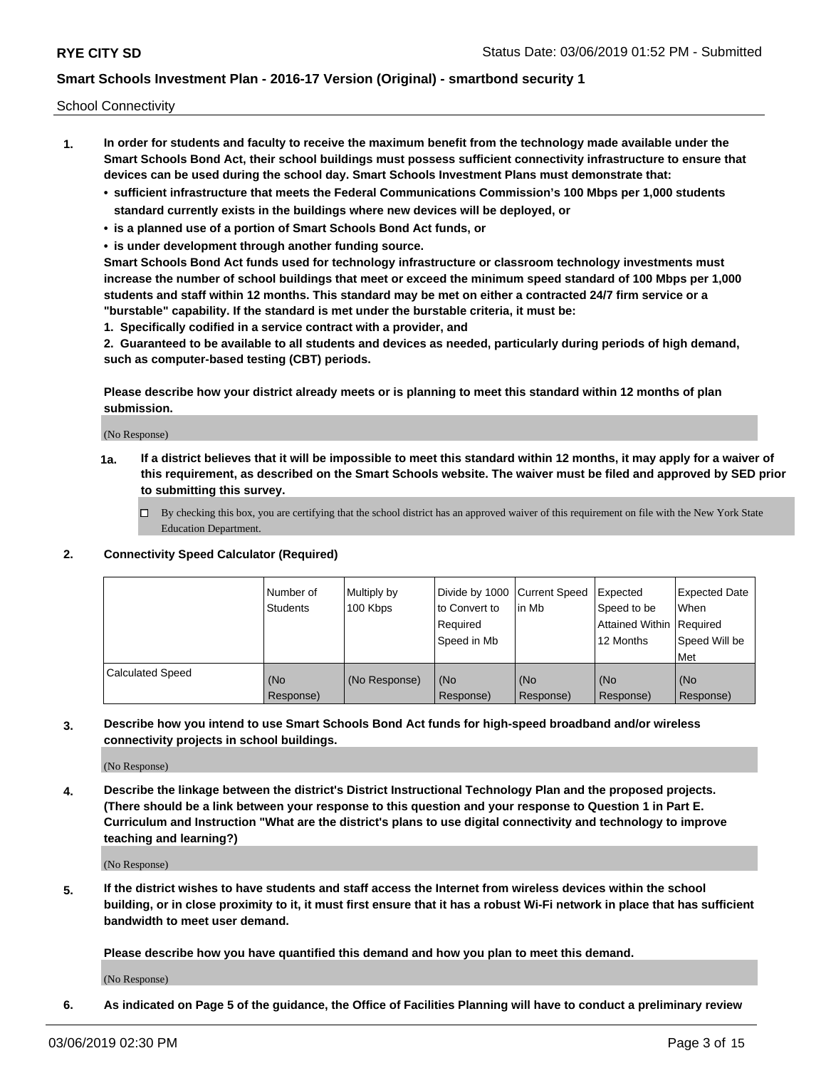School Connectivity

- **1. In order for students and faculty to receive the maximum benefit from the technology made available under the Smart Schools Bond Act, their school buildings must possess sufficient connectivity infrastructure to ensure that devices can be used during the school day. Smart Schools Investment Plans must demonstrate that:**
	- **• sufficient infrastructure that meets the Federal Communications Commission's 100 Mbps per 1,000 students standard currently exists in the buildings where new devices will be deployed, or**
	- **• is a planned use of a portion of Smart Schools Bond Act funds, or**
	- **• is under development through another funding source.**

**Smart Schools Bond Act funds used for technology infrastructure or classroom technology investments must increase the number of school buildings that meet or exceed the minimum speed standard of 100 Mbps per 1,000 students and staff within 12 months. This standard may be met on either a contracted 24/7 firm service or a "burstable" capability. If the standard is met under the burstable criteria, it must be:**

**1. Specifically codified in a service contract with a provider, and**

**2. Guaranteed to be available to all students and devices as needed, particularly during periods of high demand, such as computer-based testing (CBT) periods.**

**Please describe how your district already meets or is planning to meet this standard within 12 months of plan submission.**

(No Response)

**1a. If a district believes that it will be impossible to meet this standard within 12 months, it may apply for a waiver of this requirement, as described on the Smart Schools website. The waiver must be filed and approved by SED prior to submitting this survey.**

 $\Box$  By checking this box, you are certifying that the school district has an approved waiver of this requirement on file with the New York State Education Department.

**2. Connectivity Speed Calculator (Required)**

|                         | l Number of<br><b>Students</b> | Multiply by<br>100 Kbps | Divide by 1000 Current Speed<br>to Convert to<br>Required<br>Speed in Mb | lin Mb           | Expected<br>Speed to be<br>Attained Within   Required<br>12 Months | <b>Expected Date</b><br><b>When</b><br>Speed Will be<br><b>Met</b> |
|-------------------------|--------------------------------|-------------------------|--------------------------------------------------------------------------|------------------|--------------------------------------------------------------------|--------------------------------------------------------------------|
| <b>Calculated Speed</b> | (No<br>Response)               | (No Response)           | (No<br>Response)                                                         | (No<br>Response) | (No<br>Response)                                                   | (No<br>Response)                                                   |

**3. Describe how you intend to use Smart Schools Bond Act funds for high-speed broadband and/or wireless connectivity projects in school buildings.**

(No Response)

**4. Describe the linkage between the district's District Instructional Technology Plan and the proposed projects. (There should be a link between your response to this question and your response to Question 1 in Part E. Curriculum and Instruction "What are the district's plans to use digital connectivity and technology to improve teaching and learning?)**

(No Response)

**5. If the district wishes to have students and staff access the Internet from wireless devices within the school building, or in close proximity to it, it must first ensure that it has a robust Wi-Fi network in place that has sufficient bandwidth to meet user demand.**

**Please describe how you have quantified this demand and how you plan to meet this demand.**

(No Response)

**6. As indicated on Page 5 of the guidance, the Office of Facilities Planning will have to conduct a preliminary review**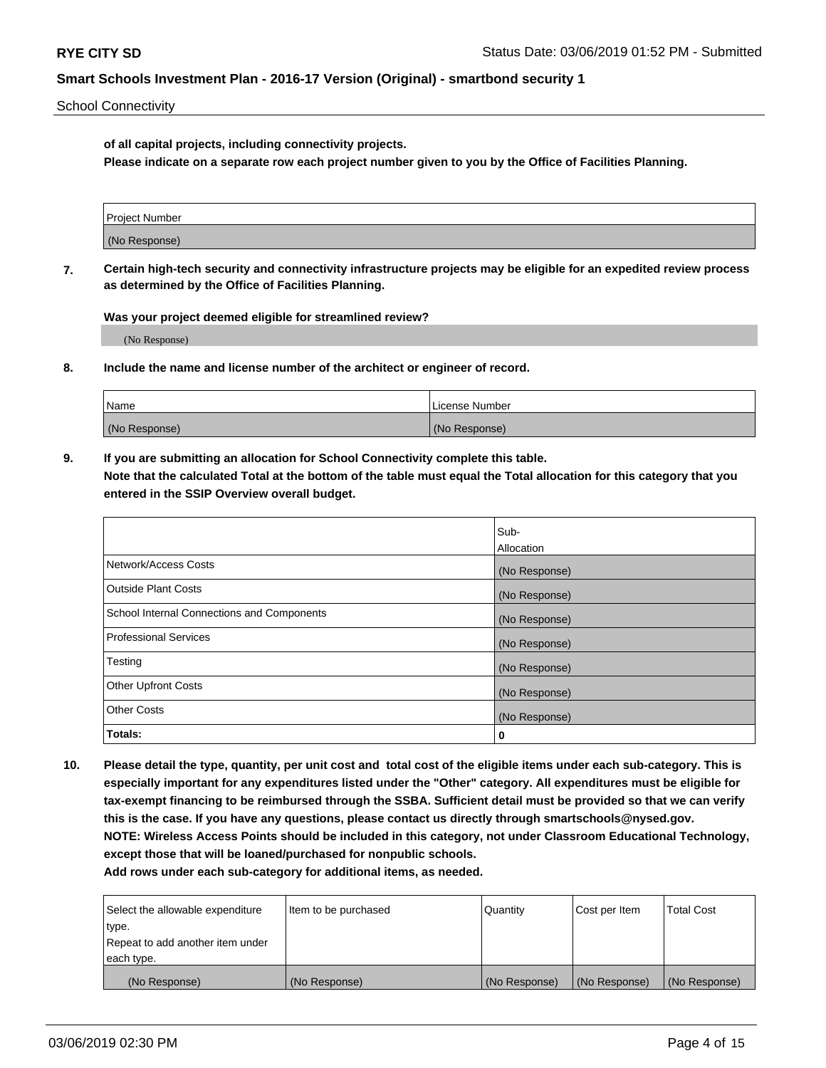School Connectivity

**of all capital projects, including connectivity projects.**

**Please indicate on a separate row each project number given to you by the Office of Facilities Planning.**

| Project Number |  |
|----------------|--|
|                |  |
| (No Response)  |  |
|                |  |

**7. Certain high-tech security and connectivity infrastructure projects may be eligible for an expedited review process as determined by the Office of Facilities Planning.**

**Was your project deemed eligible for streamlined review?**

(No Response)

**8. Include the name and license number of the architect or engineer of record.**

| Name          | License Number |
|---------------|----------------|
| (No Response) | (No Response)  |

**9. If you are submitting an allocation for School Connectivity complete this table. Note that the calculated Total at the bottom of the table must equal the Total allocation for this category that you entered in the SSIP Overview overall budget.** 

|                                            | Sub-              |
|--------------------------------------------|-------------------|
|                                            | <b>Allocation</b> |
| Network/Access Costs                       | (No Response)     |
| <b>Outside Plant Costs</b>                 | (No Response)     |
| School Internal Connections and Components | (No Response)     |
| <b>Professional Services</b>               | (No Response)     |
| Testing                                    | (No Response)     |
| <b>Other Upfront Costs</b>                 | (No Response)     |
| <b>Other Costs</b>                         | (No Response)     |
| Totals:                                    | 0                 |

**10. Please detail the type, quantity, per unit cost and total cost of the eligible items under each sub-category. This is especially important for any expenditures listed under the "Other" category. All expenditures must be eligible for tax-exempt financing to be reimbursed through the SSBA. Sufficient detail must be provided so that we can verify this is the case. If you have any questions, please contact us directly through smartschools@nysed.gov. NOTE: Wireless Access Points should be included in this category, not under Classroom Educational Technology, except those that will be loaned/purchased for nonpublic schools.**

| Select the allowable expenditure | Item to be purchased | Quantity      | Cost per Item | <b>Total Cost</b> |
|----------------------------------|----------------------|---------------|---------------|-------------------|
| type.                            |                      |               |               |                   |
| Repeat to add another item under |                      |               |               |                   |
| each type.                       |                      |               |               |                   |
| (No Response)                    | (No Response)        | (No Response) | (No Response) | (No Response)     |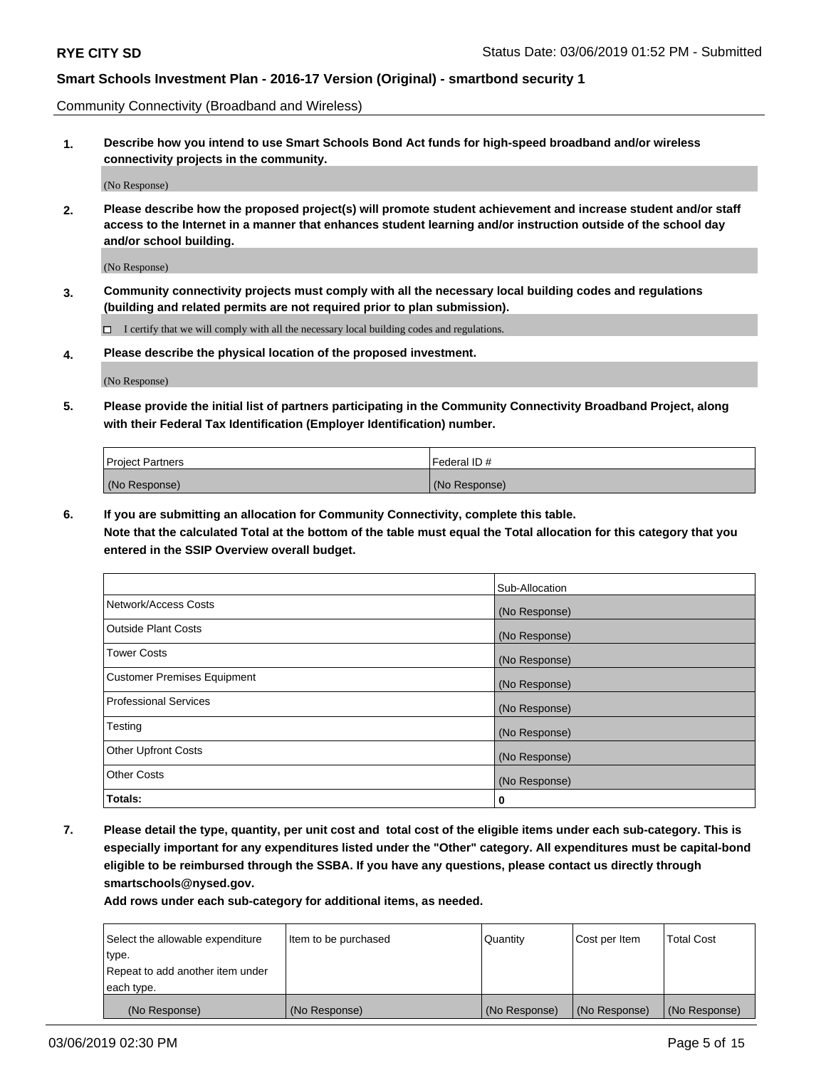Community Connectivity (Broadband and Wireless)

**1. Describe how you intend to use Smart Schools Bond Act funds for high-speed broadband and/or wireless connectivity projects in the community.**

(No Response)

**2. Please describe how the proposed project(s) will promote student achievement and increase student and/or staff access to the Internet in a manner that enhances student learning and/or instruction outside of the school day and/or school building.**

(No Response)

**3. Community connectivity projects must comply with all the necessary local building codes and regulations (building and related permits are not required prior to plan submission).**

 $\Box$  I certify that we will comply with all the necessary local building codes and regulations.

**4. Please describe the physical location of the proposed investment.**

(No Response)

**5. Please provide the initial list of partners participating in the Community Connectivity Broadband Project, along with their Federal Tax Identification (Employer Identification) number.**

| <b>Project Partners</b> | Federal ID#   |
|-------------------------|---------------|
| (No Response)           | (No Response) |

**6. If you are submitting an allocation for Community Connectivity, complete this table.**

**Note that the calculated Total at the bottom of the table must equal the Total allocation for this category that you entered in the SSIP Overview overall budget.**

|                              | Sub-Allocation |
|------------------------------|----------------|
| Network/Access Costs         | (No Response)  |
| Outside Plant Costs          | (No Response)  |
| <b>Tower Costs</b>           | (No Response)  |
| Customer Premises Equipment  | (No Response)  |
| <b>Professional Services</b> | (No Response)  |
| Testing                      | (No Response)  |
| <b>Other Upfront Costs</b>   | (No Response)  |
| <b>Other Costs</b>           | (No Response)  |
| Totals:                      | 0              |

**7. Please detail the type, quantity, per unit cost and total cost of the eligible items under each sub-category. This is especially important for any expenditures listed under the "Other" category. All expenditures must be capital-bond eligible to be reimbursed through the SSBA. If you have any questions, please contact us directly through smartschools@nysed.gov.**

| Select the allowable expenditure | Item to be purchased | Quantity      | Cost per Item | <b>Total Cost</b> |
|----------------------------------|----------------------|---------------|---------------|-------------------|
| type.                            |                      |               |               |                   |
| Repeat to add another item under |                      |               |               |                   |
| each type.                       |                      |               |               |                   |
| (No Response)                    | (No Response)        | (No Response) | (No Response) | (No Response)     |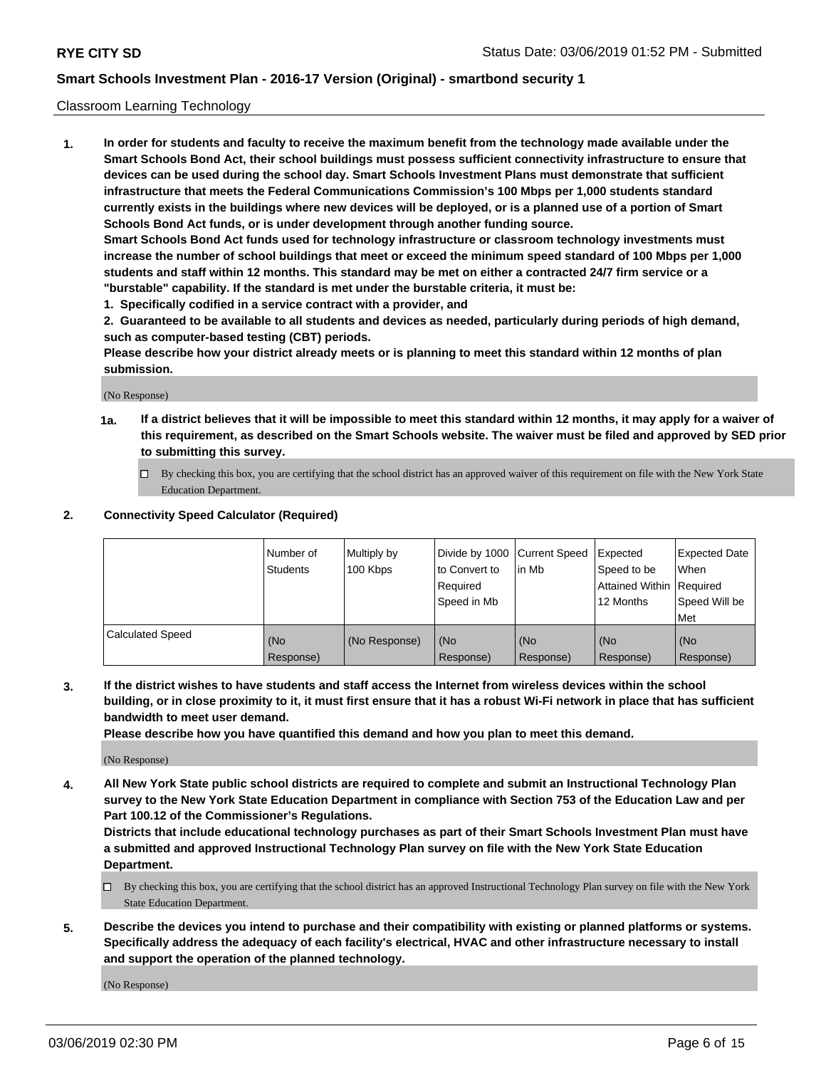#### Classroom Learning Technology

**1. In order for students and faculty to receive the maximum benefit from the technology made available under the Smart Schools Bond Act, their school buildings must possess sufficient connectivity infrastructure to ensure that devices can be used during the school day. Smart Schools Investment Plans must demonstrate that sufficient infrastructure that meets the Federal Communications Commission's 100 Mbps per 1,000 students standard currently exists in the buildings where new devices will be deployed, or is a planned use of a portion of Smart Schools Bond Act funds, or is under development through another funding source. Smart Schools Bond Act funds used for technology infrastructure or classroom technology investments must increase the number of school buildings that meet or exceed the minimum speed standard of 100 Mbps per 1,000 students and staff within 12 months. This standard may be met on either a contracted 24/7 firm service or a**

**"burstable" capability. If the standard is met under the burstable criteria, it must be:**

**1. Specifically codified in a service contract with a provider, and**

**2. Guaranteed to be available to all students and devices as needed, particularly during periods of high demand, such as computer-based testing (CBT) periods.**

**Please describe how your district already meets or is planning to meet this standard within 12 months of plan submission.**

(No Response)

- **1a. If a district believes that it will be impossible to meet this standard within 12 months, it may apply for a waiver of this requirement, as described on the Smart Schools website. The waiver must be filed and approved by SED prior to submitting this survey.**
	- By checking this box, you are certifying that the school district has an approved waiver of this requirement on file with the New York State Education Department.

#### **2. Connectivity Speed Calculator (Required)**

|                         | I Number of<br>Students | Multiply by<br>100 Kbps | to Convert to<br>Required<br>Speed in Mb | Divide by 1000 Current Speed Expected<br>lin Mb | Speed to be<br>Attained Within Required<br>12 Months | <b>Expected Date</b><br>When<br>Speed Will be<br>Met |
|-------------------------|-------------------------|-------------------------|------------------------------------------|-------------------------------------------------|------------------------------------------------------|------------------------------------------------------|
| <b>Calculated Speed</b> | (No<br>Response)        | (No Response)           | (No<br>Response)                         | (No<br>Response)                                | (No<br>Response)                                     | (No<br>Response)                                     |

**3. If the district wishes to have students and staff access the Internet from wireless devices within the school building, or in close proximity to it, it must first ensure that it has a robust Wi-Fi network in place that has sufficient bandwidth to meet user demand.**

**Please describe how you have quantified this demand and how you plan to meet this demand.**

(No Response)

**4. All New York State public school districts are required to complete and submit an Instructional Technology Plan survey to the New York State Education Department in compliance with Section 753 of the Education Law and per Part 100.12 of the Commissioner's Regulations.**

**Districts that include educational technology purchases as part of their Smart Schools Investment Plan must have a submitted and approved Instructional Technology Plan survey on file with the New York State Education Department.**

- $\Box$  By checking this box, you are certifying that the school district has an approved Instructional Technology Plan survey on file with the New York State Education Department.
- **5. Describe the devices you intend to purchase and their compatibility with existing or planned platforms or systems. Specifically address the adequacy of each facility's electrical, HVAC and other infrastructure necessary to install and support the operation of the planned technology.**

(No Response)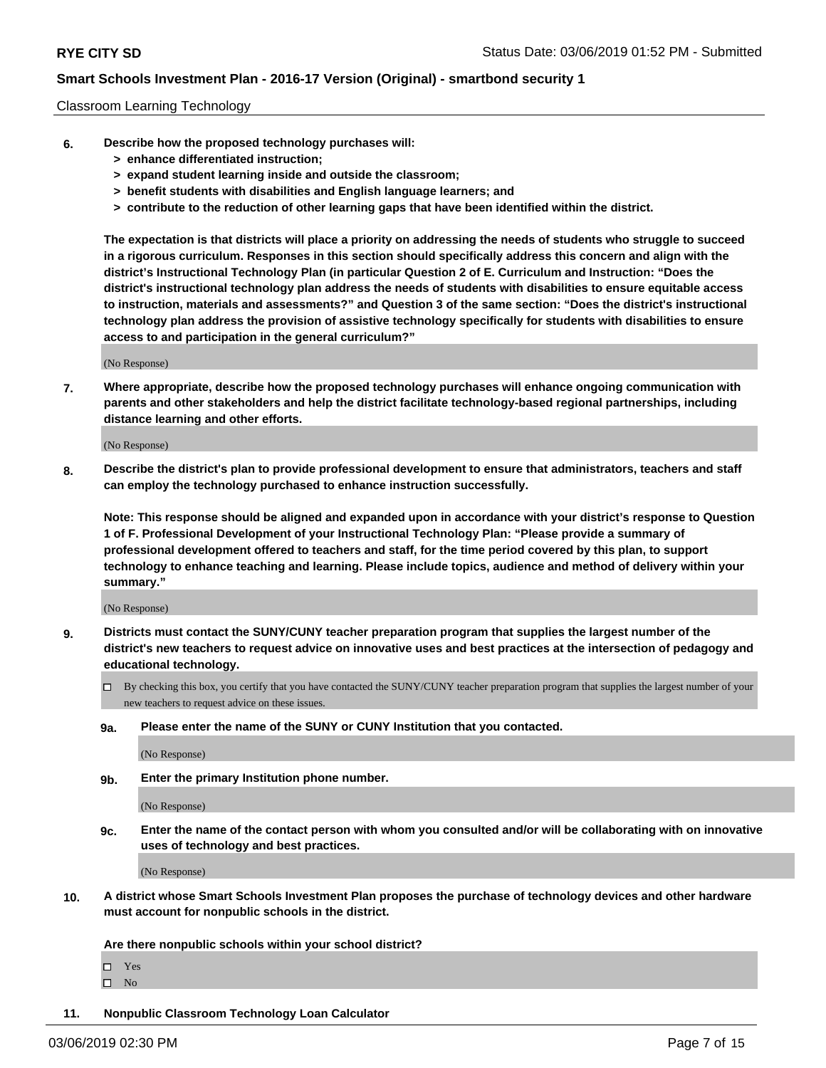#### Classroom Learning Technology

- **6. Describe how the proposed technology purchases will:**
	- **> enhance differentiated instruction;**
	- **> expand student learning inside and outside the classroom;**
	- **> benefit students with disabilities and English language learners; and**
	- **> contribute to the reduction of other learning gaps that have been identified within the district.**

**The expectation is that districts will place a priority on addressing the needs of students who struggle to succeed in a rigorous curriculum. Responses in this section should specifically address this concern and align with the district's Instructional Technology Plan (in particular Question 2 of E. Curriculum and Instruction: "Does the district's instructional technology plan address the needs of students with disabilities to ensure equitable access to instruction, materials and assessments?" and Question 3 of the same section: "Does the district's instructional technology plan address the provision of assistive technology specifically for students with disabilities to ensure access to and participation in the general curriculum?"**

(No Response)

**7. Where appropriate, describe how the proposed technology purchases will enhance ongoing communication with parents and other stakeholders and help the district facilitate technology-based regional partnerships, including distance learning and other efforts.**

(No Response)

**8. Describe the district's plan to provide professional development to ensure that administrators, teachers and staff can employ the technology purchased to enhance instruction successfully.**

**Note: This response should be aligned and expanded upon in accordance with your district's response to Question 1 of F. Professional Development of your Instructional Technology Plan: "Please provide a summary of professional development offered to teachers and staff, for the time period covered by this plan, to support technology to enhance teaching and learning. Please include topics, audience and method of delivery within your summary."**

(No Response)

- **9. Districts must contact the SUNY/CUNY teacher preparation program that supplies the largest number of the district's new teachers to request advice on innovative uses and best practices at the intersection of pedagogy and educational technology.**
	- By checking this box, you certify that you have contacted the SUNY/CUNY teacher preparation program that supplies the largest number of your new teachers to request advice on these issues.
	- **9a. Please enter the name of the SUNY or CUNY Institution that you contacted.**

(No Response)

**9b. Enter the primary Institution phone number.**

(No Response)

**9c. Enter the name of the contact person with whom you consulted and/or will be collaborating with on innovative uses of technology and best practices.**

(No Response)

**10. A district whose Smart Schools Investment Plan proposes the purchase of technology devices and other hardware must account for nonpublic schools in the district.**

**Are there nonpublic schools within your school district?**

Yes

 $\square$  No

**11. Nonpublic Classroom Technology Loan Calculator**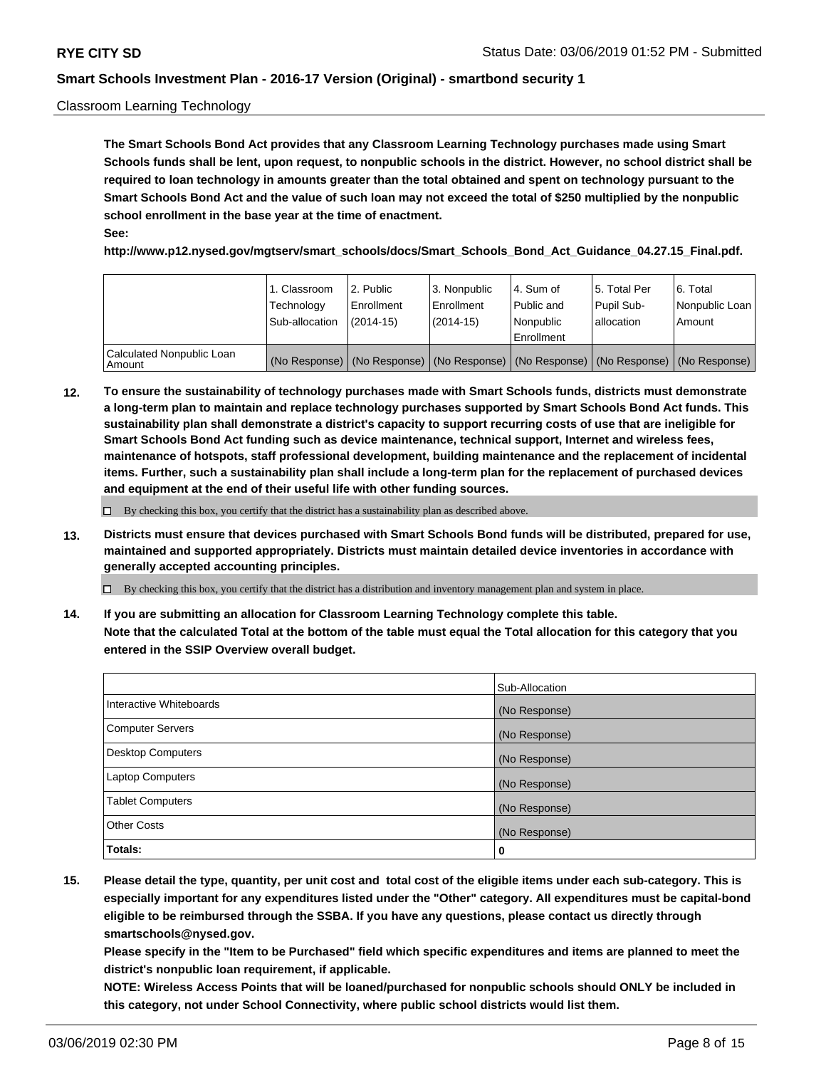#### Classroom Learning Technology

**The Smart Schools Bond Act provides that any Classroom Learning Technology purchases made using Smart Schools funds shall be lent, upon request, to nonpublic schools in the district. However, no school district shall be required to loan technology in amounts greater than the total obtained and spent on technology pursuant to the Smart Schools Bond Act and the value of such loan may not exceed the total of \$250 multiplied by the nonpublic school enrollment in the base year at the time of enactment. See:**

**http://www.p12.nysed.gov/mgtserv/smart\_schools/docs/Smart\_Schools\_Bond\_Act\_Guidance\_04.27.15\_Final.pdf.**

|                                       | 1. Classroom<br>Technology<br>Sub-allocation | 2. Public<br>l Enrollment<br>$(2014-15)$ | l 3. Nonpublic<br>l Enrollment<br>$(2014 - 15)$ | l 4. Sum of<br>Public and<br>l Nonpublic<br>Enrollment                                        | 15. Total Per<br>Pupil Sub-<br>l allocation | l 6. Total<br>Nonpublic Loan<br>Amount |
|---------------------------------------|----------------------------------------------|------------------------------------------|-------------------------------------------------|-----------------------------------------------------------------------------------------------|---------------------------------------------|----------------------------------------|
| Calculated Nonpublic Loan<br>l Amount |                                              |                                          |                                                 | (No Response)   (No Response)   (No Response)   (No Response)   (No Response)   (No Response) |                                             |                                        |

**12. To ensure the sustainability of technology purchases made with Smart Schools funds, districts must demonstrate a long-term plan to maintain and replace technology purchases supported by Smart Schools Bond Act funds. This sustainability plan shall demonstrate a district's capacity to support recurring costs of use that are ineligible for Smart Schools Bond Act funding such as device maintenance, technical support, Internet and wireless fees, maintenance of hotspots, staff professional development, building maintenance and the replacement of incidental items. Further, such a sustainability plan shall include a long-term plan for the replacement of purchased devices and equipment at the end of their useful life with other funding sources.**

 $\Box$  By checking this box, you certify that the district has a sustainability plan as described above.

**13. Districts must ensure that devices purchased with Smart Schools Bond funds will be distributed, prepared for use, maintained and supported appropriately. Districts must maintain detailed device inventories in accordance with generally accepted accounting principles.**

By checking this box, you certify that the district has a distribution and inventory management plan and system in place.

**14. If you are submitting an allocation for Classroom Learning Technology complete this table. Note that the calculated Total at the bottom of the table must equal the Total allocation for this category that you entered in the SSIP Overview overall budget.**

|                          | Sub-Allocation |
|--------------------------|----------------|
| Interactive Whiteboards  | (No Response)  |
| <b>Computer Servers</b>  | (No Response)  |
| <b>Desktop Computers</b> | (No Response)  |
| <b>Laptop Computers</b>  | (No Response)  |
| <b>Tablet Computers</b>  | (No Response)  |
| <b>Other Costs</b>       | (No Response)  |
| Totals:                  | 0              |

**15. Please detail the type, quantity, per unit cost and total cost of the eligible items under each sub-category. This is especially important for any expenditures listed under the "Other" category. All expenditures must be capital-bond eligible to be reimbursed through the SSBA. If you have any questions, please contact us directly through smartschools@nysed.gov.**

**Please specify in the "Item to be Purchased" field which specific expenditures and items are planned to meet the district's nonpublic loan requirement, if applicable.**

**NOTE: Wireless Access Points that will be loaned/purchased for nonpublic schools should ONLY be included in this category, not under School Connectivity, where public school districts would list them.**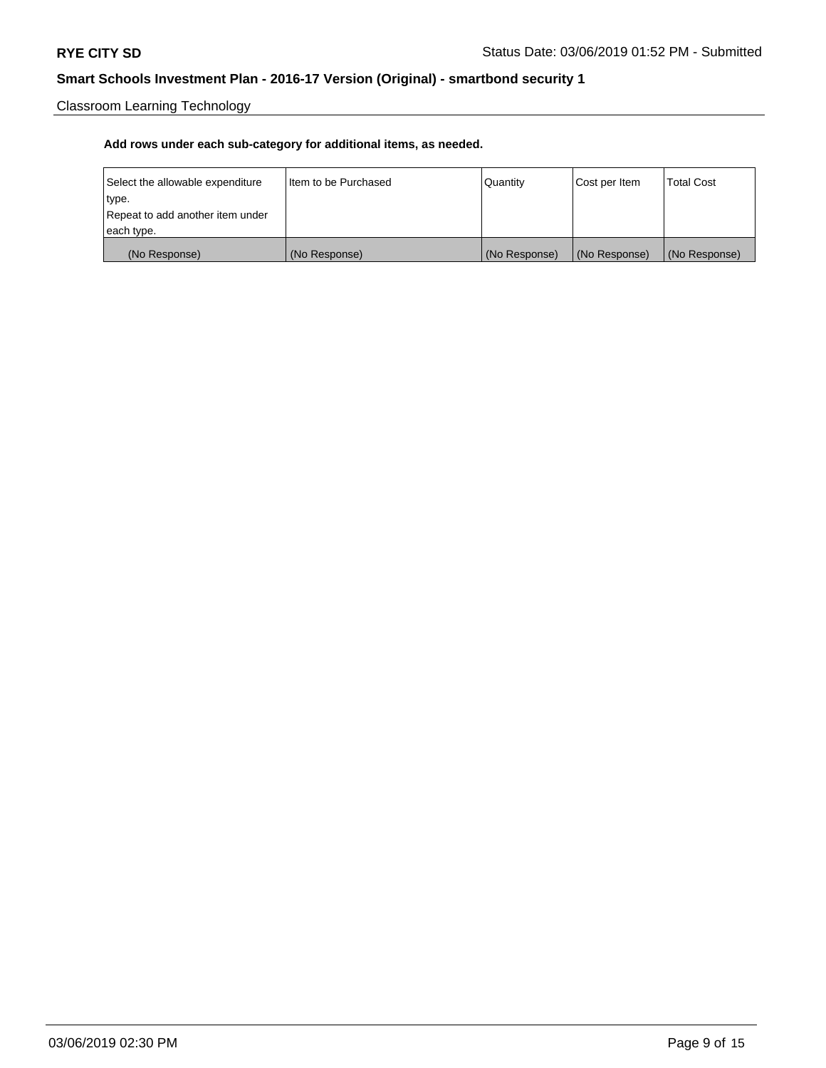Classroom Learning Technology

| Select the allowable expenditure | Iltem to be Purchased | Quantity      | Cost per Item | <b>Total Cost</b> |
|----------------------------------|-----------------------|---------------|---------------|-------------------|
| type.                            |                       |               |               |                   |
| Repeat to add another item under |                       |               |               |                   |
| each type.                       |                       |               |               |                   |
| (No Response)                    | (No Response)         | (No Response) | (No Response) | (No Response)     |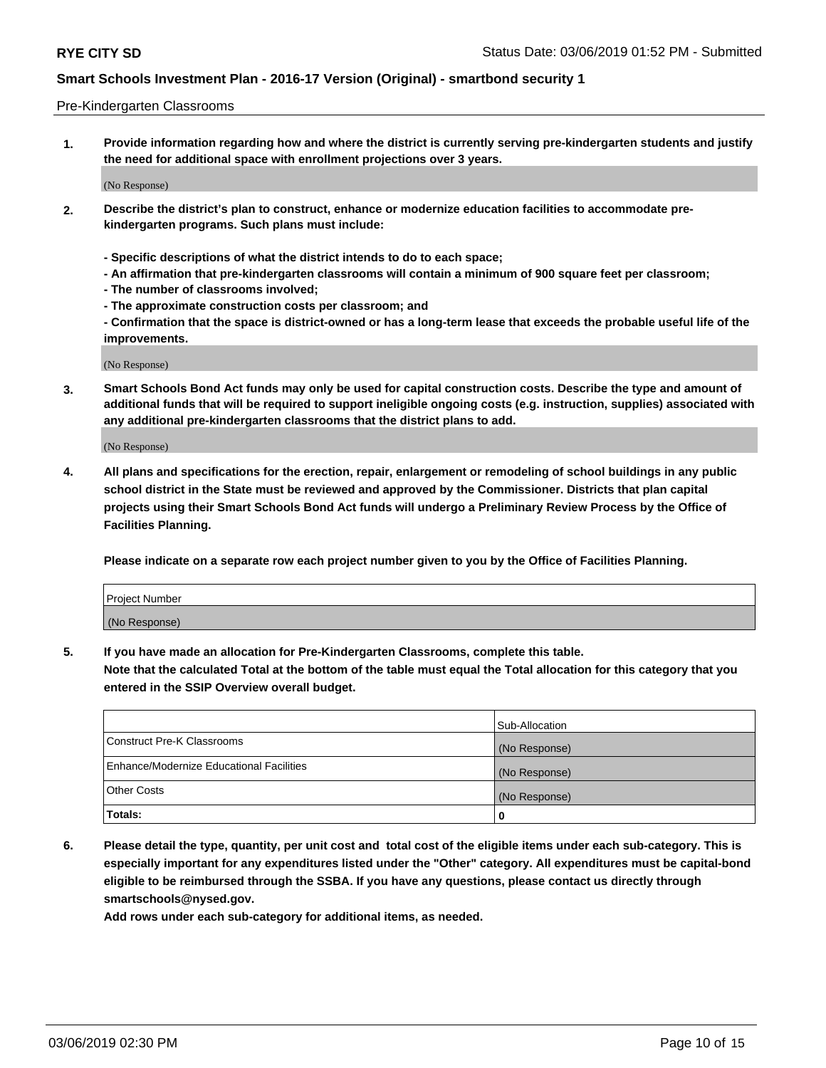#### Pre-Kindergarten Classrooms

**1. Provide information regarding how and where the district is currently serving pre-kindergarten students and justify the need for additional space with enrollment projections over 3 years.**

(No Response)

- **2. Describe the district's plan to construct, enhance or modernize education facilities to accommodate prekindergarten programs. Such plans must include:**
	- **Specific descriptions of what the district intends to do to each space;**
	- **An affirmation that pre-kindergarten classrooms will contain a minimum of 900 square feet per classroom;**
	- **The number of classrooms involved;**
	- **The approximate construction costs per classroom; and**
	- **Confirmation that the space is district-owned or has a long-term lease that exceeds the probable useful life of the improvements.**

(No Response)

**3. Smart Schools Bond Act funds may only be used for capital construction costs. Describe the type and amount of additional funds that will be required to support ineligible ongoing costs (e.g. instruction, supplies) associated with any additional pre-kindergarten classrooms that the district plans to add.**

(No Response)

**4. All plans and specifications for the erection, repair, enlargement or remodeling of school buildings in any public school district in the State must be reviewed and approved by the Commissioner. Districts that plan capital projects using their Smart Schools Bond Act funds will undergo a Preliminary Review Process by the Office of Facilities Planning.**

**Please indicate on a separate row each project number given to you by the Office of Facilities Planning.**

| Project Number |  |
|----------------|--|
| (No Response)  |  |
|                |  |

**5. If you have made an allocation for Pre-Kindergarten Classrooms, complete this table.**

**Note that the calculated Total at the bottom of the table must equal the Total allocation for this category that you entered in the SSIP Overview overall budget.**

|                                          | Sub-Allocation |
|------------------------------------------|----------------|
| Construct Pre-K Classrooms               | (No Response)  |
| Enhance/Modernize Educational Facilities | (No Response)  |
| <b>Other Costs</b>                       | (No Response)  |
| Totals:                                  | 0              |

**6. Please detail the type, quantity, per unit cost and total cost of the eligible items under each sub-category. This is especially important for any expenditures listed under the "Other" category. All expenditures must be capital-bond eligible to be reimbursed through the SSBA. If you have any questions, please contact us directly through smartschools@nysed.gov.**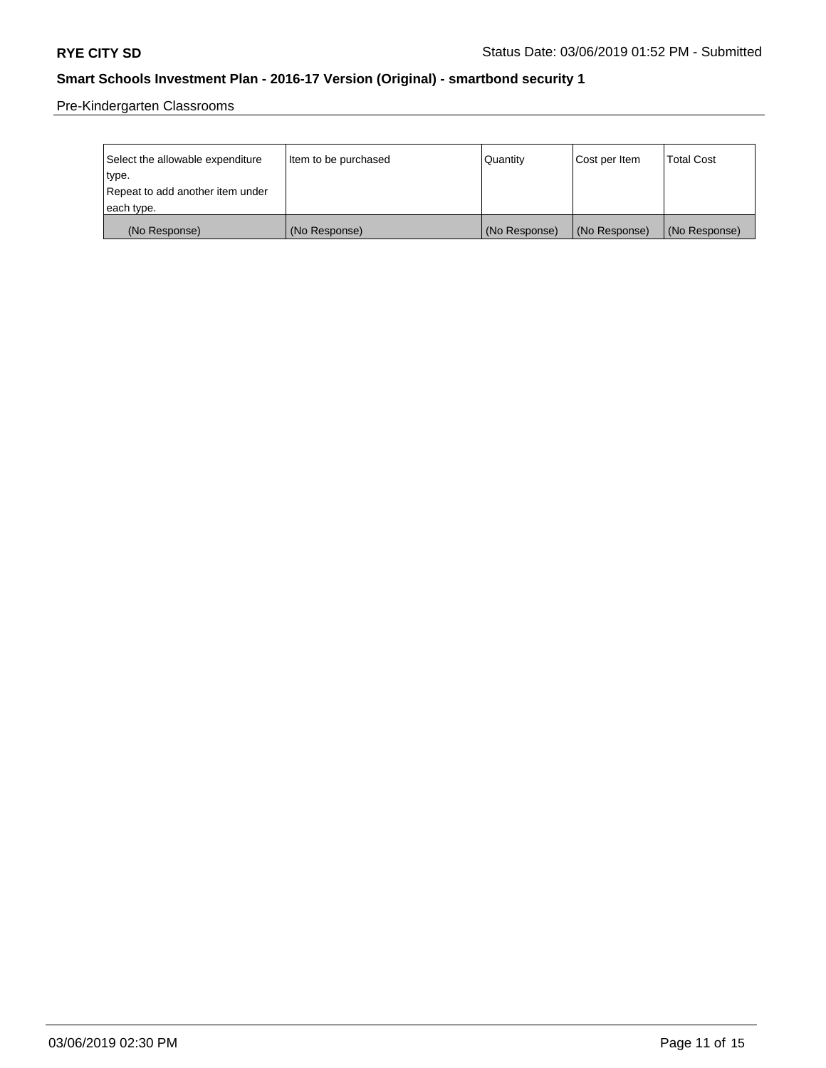Pre-Kindergarten Classrooms

| Select the allowable expenditure | Item to be purchased | Quantity      | Cost per Item | <b>Total Cost</b> |
|----------------------------------|----------------------|---------------|---------------|-------------------|
| type.                            |                      |               |               |                   |
| Repeat to add another item under |                      |               |               |                   |
| each type.                       |                      |               |               |                   |
| (No Response)                    | (No Response)        | (No Response) | (No Response) | (No Response)     |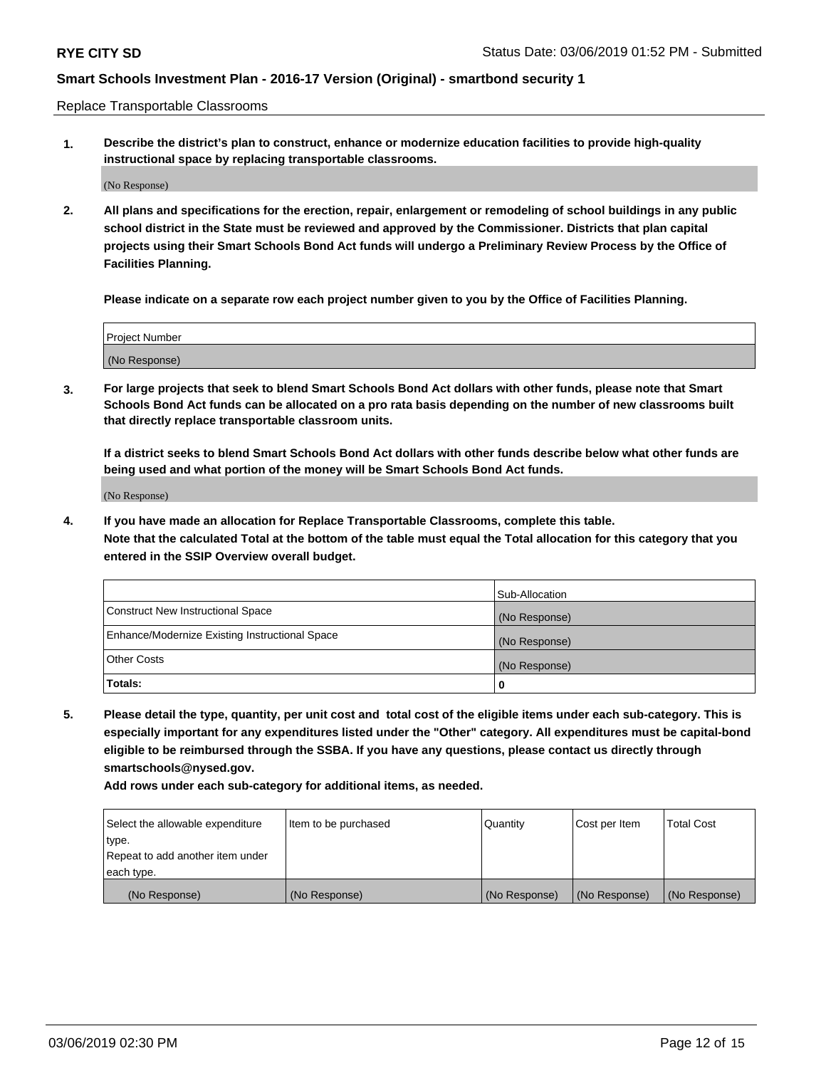Replace Transportable Classrooms

**1. Describe the district's plan to construct, enhance or modernize education facilities to provide high-quality instructional space by replacing transportable classrooms.**

(No Response)

**2. All plans and specifications for the erection, repair, enlargement or remodeling of school buildings in any public school district in the State must be reviewed and approved by the Commissioner. Districts that plan capital projects using their Smart Schools Bond Act funds will undergo a Preliminary Review Process by the Office of Facilities Planning.**

**Please indicate on a separate row each project number given to you by the Office of Facilities Planning.**

| Project Number |  |
|----------------|--|
|                |  |
|                |  |
|                |  |
|                |  |
| (No Response)  |  |
|                |  |
|                |  |
|                |  |

**3. For large projects that seek to blend Smart Schools Bond Act dollars with other funds, please note that Smart Schools Bond Act funds can be allocated on a pro rata basis depending on the number of new classrooms built that directly replace transportable classroom units.**

**If a district seeks to blend Smart Schools Bond Act dollars with other funds describe below what other funds are being used and what portion of the money will be Smart Schools Bond Act funds.**

(No Response)

**4. If you have made an allocation for Replace Transportable Classrooms, complete this table. Note that the calculated Total at the bottom of the table must equal the Total allocation for this category that you entered in the SSIP Overview overall budget.**

|                                                | Sub-Allocation |
|------------------------------------------------|----------------|
| Construct New Instructional Space              | (No Response)  |
| Enhance/Modernize Existing Instructional Space | (No Response)  |
| <b>Other Costs</b>                             | (No Response)  |
| Totals:                                        | 0              |

**5. Please detail the type, quantity, per unit cost and total cost of the eligible items under each sub-category. This is especially important for any expenditures listed under the "Other" category. All expenditures must be capital-bond eligible to be reimbursed through the SSBA. If you have any questions, please contact us directly through smartschools@nysed.gov.**

| Select the allowable expenditure | Item to be purchased | l Quantitv    | Cost per Item | <b>Total Cost</b> |
|----------------------------------|----------------------|---------------|---------------|-------------------|
| type.                            |                      |               |               |                   |
| Repeat to add another item under |                      |               |               |                   |
| each type.                       |                      |               |               |                   |
| (No Response)                    | (No Response)        | (No Response) | (No Response) | (No Response)     |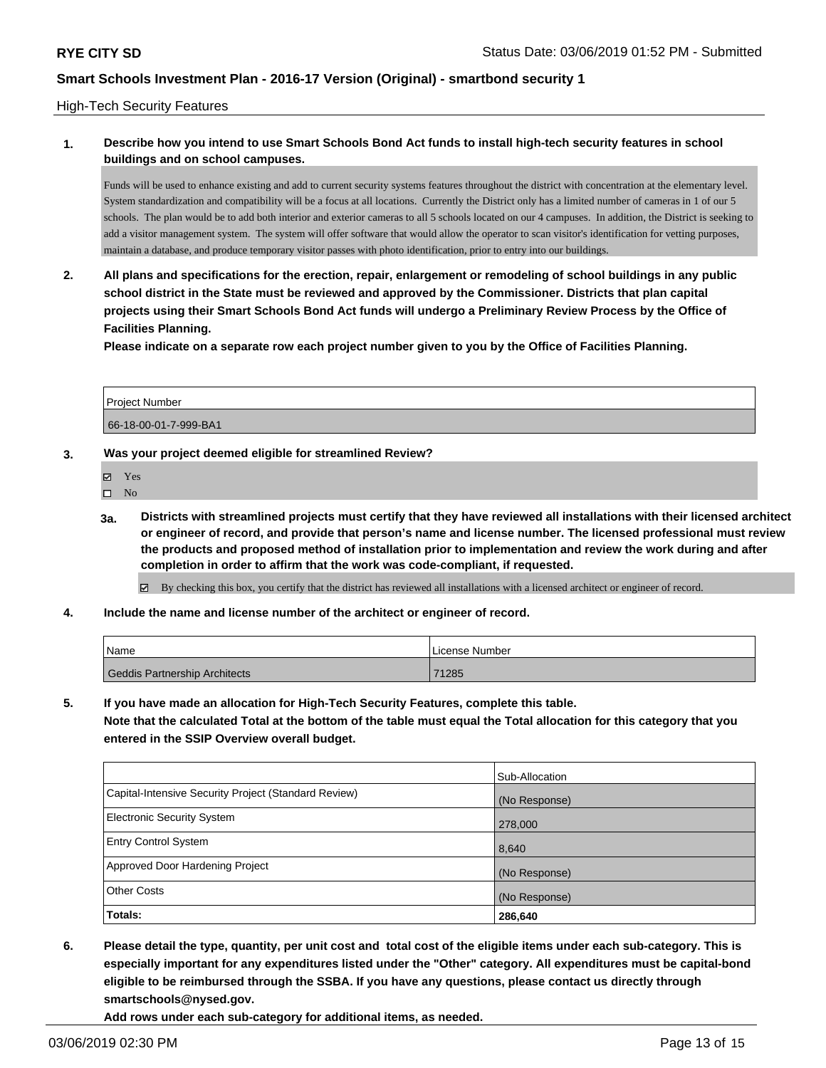#### High-Tech Security Features

### **1. Describe how you intend to use Smart Schools Bond Act funds to install high-tech security features in school buildings and on school campuses.**

Funds will be used to enhance existing and add to current security systems features throughout the district with concentration at the elementary level. System standardization and compatibility will be a focus at all locations. Currently the District only has a limited number of cameras in 1 of our 5 schools. The plan would be to add both interior and exterior cameras to all 5 schools located on our 4 campuses. In addition, the District is seeking to add a visitor management system. The system will offer software that would allow the operator to scan visitor's identification for vetting purposes, maintain a database, and produce temporary visitor passes with photo identification, prior to entry into our buildings.

**2. All plans and specifications for the erection, repair, enlargement or remodeling of school buildings in any public school district in the State must be reviewed and approved by the Commissioner. Districts that plan capital projects using their Smart Schools Bond Act funds will undergo a Preliminary Review Process by the Office of Facilities Planning.** 

**Please indicate on a separate row each project number given to you by the Office of Facilities Planning.**

| <b>Project Number</b> |  |
|-----------------------|--|
| 66-18-00-01-7-999-BA1 |  |

#### **3. Was your project deemed eligible for streamlined Review?**

- Yes
- $\square$  No
- **3a. Districts with streamlined projects must certify that they have reviewed all installations with their licensed architect or engineer of record, and provide that person's name and license number. The licensed professional must review the products and proposed method of installation prior to implementation and review the work during and after completion in order to affirm that the work was code-compliant, if requested.**

By checking this box, you certify that the district has reviewed all installations with a licensed architect or engineer of record.

**4. Include the name and license number of the architect or engineer of record.**

| Name                          | License Number |
|-------------------------------|----------------|
| Geddis Partnership Architects | 71285          |

**5. If you have made an allocation for High-Tech Security Features, complete this table. Note that the calculated Total at the bottom of the table must equal the Total allocation for this category that you entered in the SSIP Overview overall budget.**

|                                                      | Sub-Allocation |
|------------------------------------------------------|----------------|
| Capital-Intensive Security Project (Standard Review) | (No Response)  |
| Electronic Security System                           | 278,000        |
| <b>Entry Control System</b>                          | 8,640          |
| Approved Door Hardening Project                      | (No Response)  |
| <b>Other Costs</b>                                   | (No Response)  |
| Totals:                                              | 286,640        |

**6. Please detail the type, quantity, per unit cost and total cost of the eligible items under each sub-category. This is especially important for any expenditures listed under the "Other" category. All expenditures must be capital-bond eligible to be reimbursed through the SSBA. If you have any questions, please contact us directly through smartschools@nysed.gov.**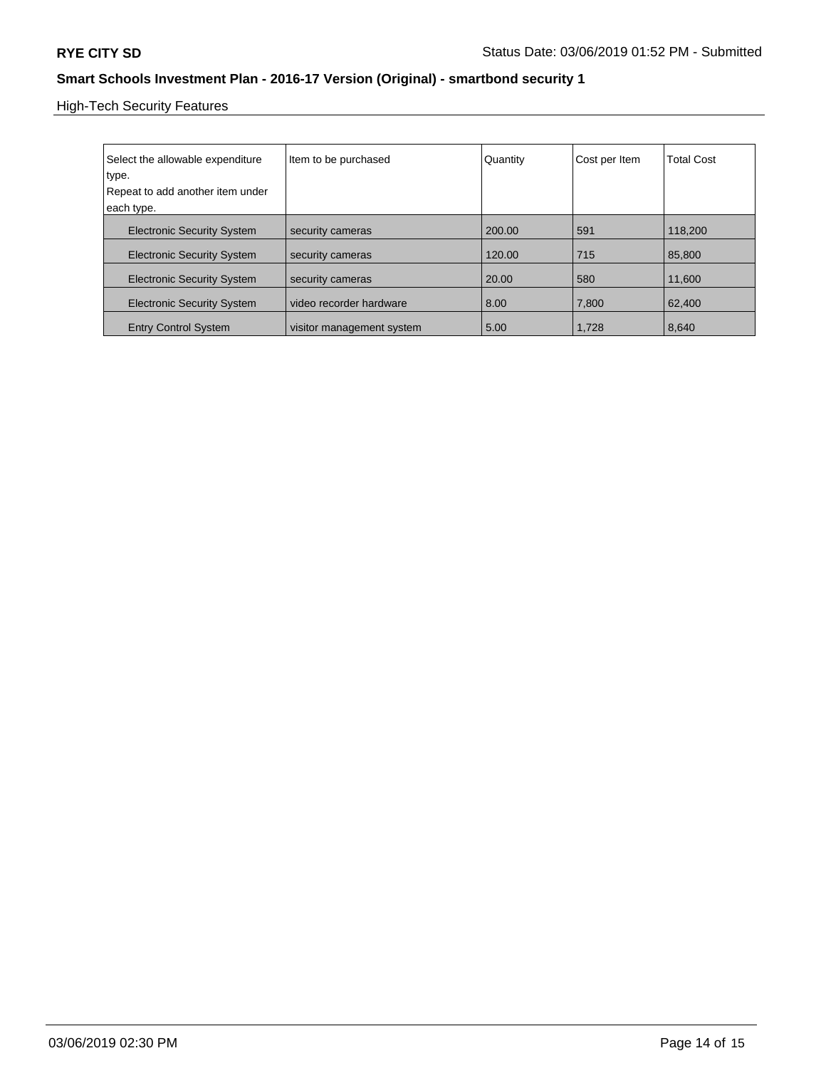High-Tech Security Features

| Select the allowable expenditure<br>type.<br>Repeat to add another item under<br>each type. | Item to be purchased      | Quantity | Cost per Item | <b>Total Cost</b> |
|---------------------------------------------------------------------------------------------|---------------------------|----------|---------------|-------------------|
| <b>Electronic Security System</b>                                                           | security cameras          | 200.00   | 591           | 118,200           |
| <b>Electronic Security System</b>                                                           | security cameras          | 120.00   | 715           | 85,800            |
| <b>Electronic Security System</b>                                                           | security cameras          | 20.00    | 580           | 11.600            |
| <b>Electronic Security System</b>                                                           | video recorder hardware   | 8.00     | 7,800         | 62,400            |
| <b>Entry Control System</b>                                                                 | visitor management system | 5.00     | 1.728         | 8.640             |